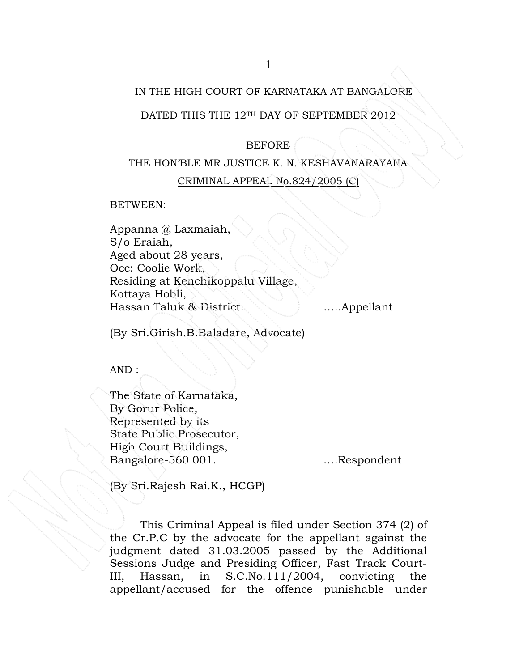# IN THE HIGH COURT OF KARNATAKA AT BANGALORE

## DATED THIS THE 12TH DAY OF SEPTEMBER 2012

## BEFORE

# THE HON'BLE MR JUSTICE K. N. KESHAVANARAYANA

# CRIMINAL APPEAL No.824/2005 (C)

#### BETWEEN:

Appanna @ Laxmaiah, S/o Eraiah, Aged about 28 years, Occ: Coolie Work, Residing at Kenchikoppalu Village, Kottaya Hobli, Hassan Taluk & District. **Example 1. Example 1.** Massan Taluk & District.

(By Sri.Girish.B.Baladare, Advocate)

# $AND:$

The State of Karnataka, By Gorur Police, Represented by its State Public Prosecutor, High Court Buildings, Bangalore-560 001. ….Respondent

(By Sri.Rajesh Rai.K., HCGP)

This Criminal Appeal is filed under Section 374 (2) of the Cr.P.C by the advocate for the appellant against the judgment dated 31.03.2005 passed by the Additional Sessions Judge and Presiding Officer, Fast Track Court-III, Hassan, in S.C.No.111/2004, convicting the appellant/accused for the offence punishable under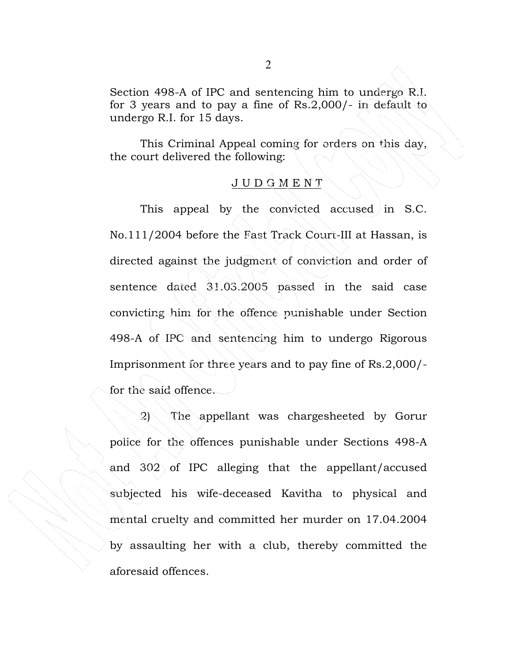Section 498-A of IPC and sentencing him to undergo R.I. for 3 years and to pay a fine of Rs.2,000/- in default to undergo R.I. for 15 days.

This Criminal Appeal coming for orders on this day, the court delivered the following:

#### J U D G M E N T

This appeal by the convicted accused in S.C. No.111/2004 before the Fast Track Court-III at Hassan, is directed against the judgment of conviction and order of sentence dated 31.03.2005 passed in the said case convicting him for the offence punishable under Section 498-A of IPC and sentencing him to undergo Rigorous Imprisonment for three years and to pay fine of Rs.2,000/ for the said offence.

2) The appellant was chargesheeted by Gorur police for the offences punishable under Sections 498-A and 302 of IPC alleging that the appellant/accused subjected his wife-deceased Kavitha to physical and mental cruelty and committed her murder on 17.04.2004 by assaulting her with a club, thereby committed the aforesaid offences.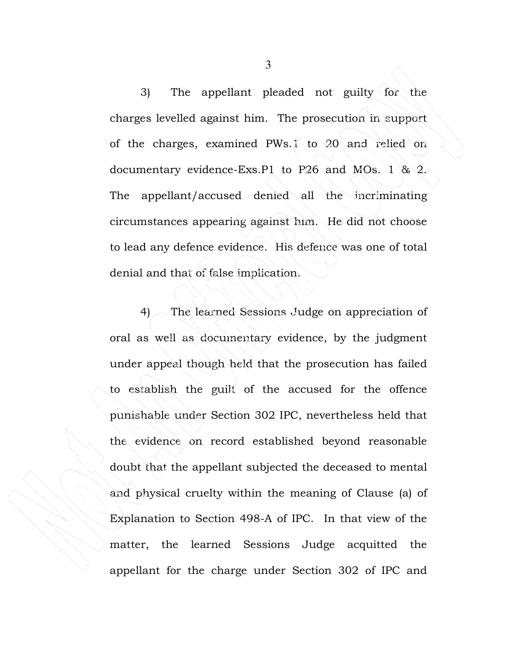3) The appellant pleaded not guilty for the charges levelled against him. The prosecution in support of the charges, examined PWs.1 to 20 and relied on documentary evidence-Exs.P1 to P26 and MOs. 1 & 2. The appellant/accused denied all the incriminating circumstances appearing against him. He did not choose to lead any defence evidence. His defence was one of total denial and that of false implication.

4) The learned Sessions Judge on appreciation of oral as well as documentary evidence, by the judgment under appeal though held that the prosecution has failed to establish the guilt of the accused for the offence punishable under Section 302 IPC, nevertheless held that the evidence on record established beyond reasonable doubt that the appellant subjected the deceased to mental and physical cruelty within the meaning of Clause (a) of Explanation to Section 498-A of IPC. In that view of the matter, the learned Sessions Judge acquitted the appellant for the charge under Section 302 of IPC and

3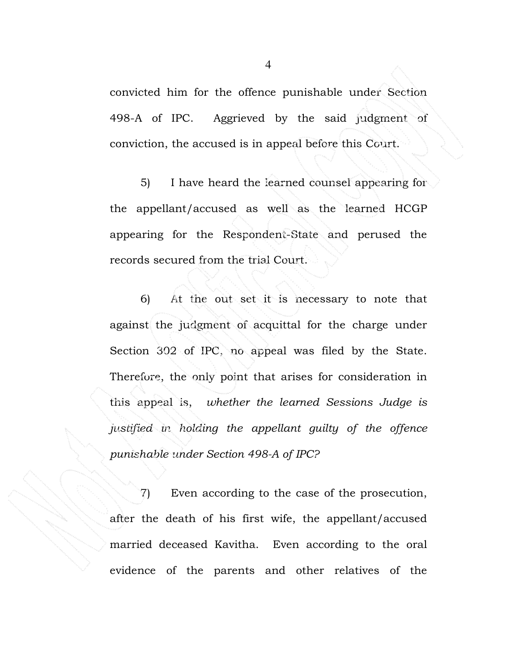convicted him for the offence punishable under Section 498-A of IPC. Aggrieved by the said judgment of conviction, the accused is in appeal before this Court.

5) I have heard the learned counsel appearing for the appellant/accused as well as the learned HCGP appearing for the Respondent-State and perused the records secured from the trial Court.

6) At the out set it is necessary to note that against the judgment of acquittal for the charge under Section 302 of IPC, no appeal was filed by the State. Therefore, the only point that arises for consideration in this appeal is, whether the learned Sessions Judge is justified in holding the appellant guilty of the offence punishable under Section 498-A of IPC?

7) Even according to the case of the prosecution, after the death of his first wife, the appellant/accused married deceased Kavitha. Even according to the oral evidence of the parents and other relatives of the

4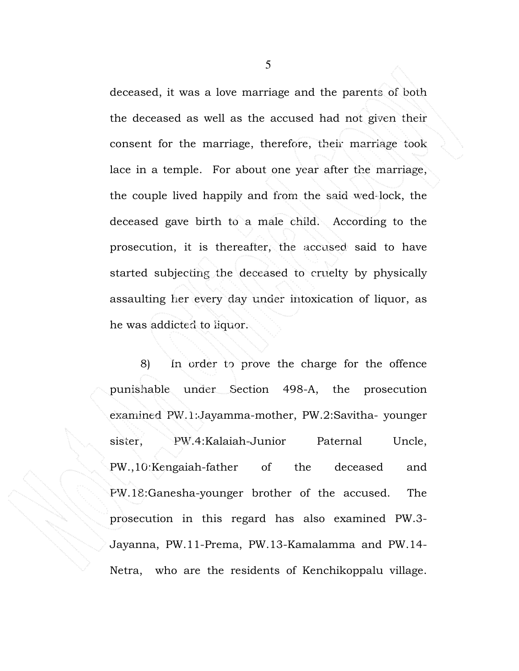deceased, it was a love marriage and the parents of both the deceased as well as the accused had not given their consent for the marriage, therefore, their marriage took lace in a temple. For about one year after the marriage, the couple lived happily and from the said wed-lock, the deceased gave birth to a male child. According to the prosecution, it is thereafter, the accused said to have started subjecting the deceased to cruelty by physically assaulting her every day under intoxication of liquor, as he was addicted to liquor.

8) In order to prove the charge for the offence punishable under Section 498-A, the prosecution examined PW.1:Jayamma-mother, PW.2:Savitha- younger sister, PW.4:Kalaiah-Junior Paternal Uncle, PW.,10:Kengaiah-father of the deceased and PW.18:Ganesha-younger brother of the accused. The prosecution in this regard has also examined PW.3- Jayanna, PW.11-Prema, PW.13-Kamalamma and PW.14- Netra, who are the residents of Kenchikoppalu village.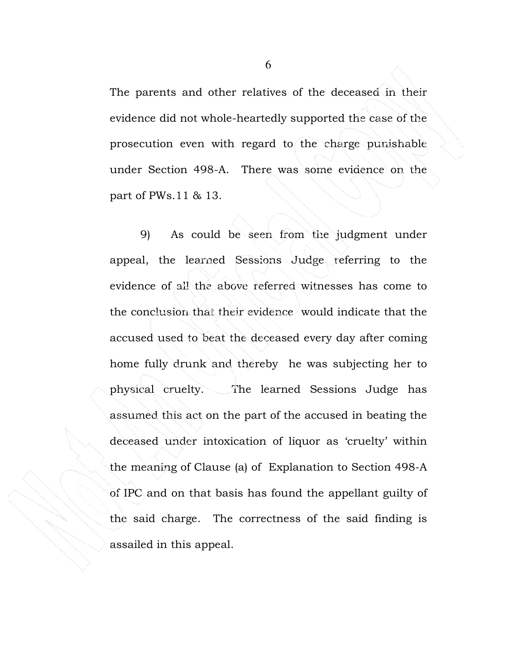The parents and other relatives of the deceased in their evidence did not whole-heartedly supported the case of the prosecution even with regard to the charge punishable under Section 498-A. There was some evidence on the part of PWs.11 & 13.

9) As could be seen from the judgment under appeal, the learned Sessions Judge referring to the evidence of all the above referred witnesses has come to the conclusion that their evidence would indicate that the accused used to beat the deceased every day after coming home fully drunk and thereby he was subjecting her to physical cruelty. The learned Sessions Judge has assumed this act on the part of the accused in beating the deceased under intoxication of liquor as 'cruelty' within the meaning of Clause (a) of Explanation to Section 498-A of IPC and on that basis has found the appellant guilty of the said charge. The correctness of the said finding is assailed in this appeal.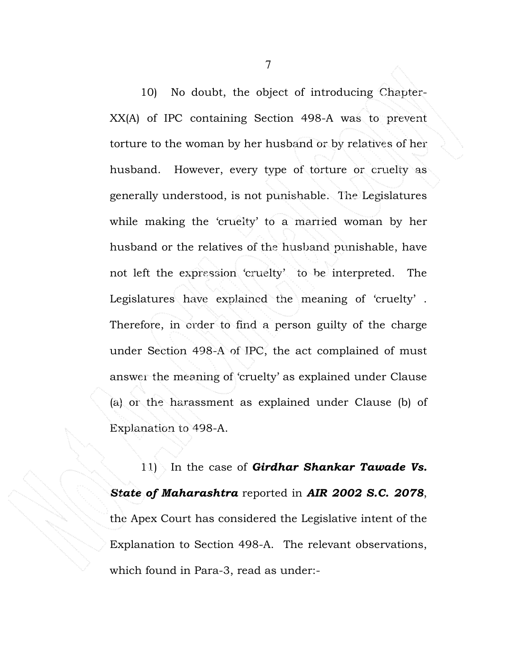10) No doubt, the object of introducing Chapter-XX(A) of IPC containing Section 498-A was to prevent torture to the woman by her husband or by relatives of her husband. However, every type of torture or cruelty as generally understood, is not punishable. The Legislatures while making the 'cruelty' to a married woman by her husband or the relatives of the husband punishable, have not left the expression 'cruelty' to be interpreted. The Legislatures have explained the meaning of 'cruelty' . Therefore, in order to find a person guilty of the charge under Section 498-A of IPC, the act complained of must answer the meaning of 'cruelty' as explained under Clause (a) or the harassment as explained under Clause (b) of Explanation to 498-A.

11) In the case of Girdhar Shankar Tawade Vs. State of Maharashtra reported in AIR 2002 S.C. 2078, the Apex Court has considered the Legislative intent of the Explanation to Section 498-A. The relevant observations, which found in Para-3, read as under:-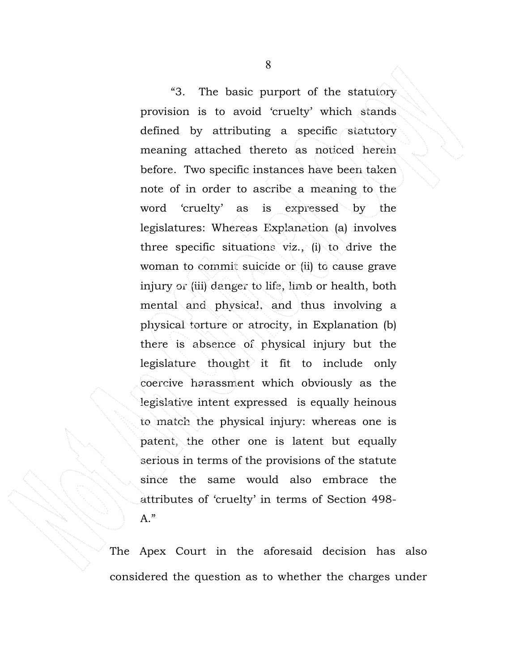"3. The basic purport of the statutory provision is to avoid 'cruelty' which stands defined by attributing a specific statutory meaning attached thereto as noticed herein before. Two specific instances have been taken note of in order to ascribe a meaning to the word 'cruelty' as is expressed by the legislatures: Whereas Explanation (a) involves three specific situations viz., (i) to drive the woman to commit suicide or (ii) to cause grave injury or (iii) danger to life, limb or health, both mental and physical, and thus involving a physical torture or atrocity, in Explanation (b) there is absence of physical injury but the legislature thought it fit to include only coercive harassment which obviously as the legislative intent expressed is equally heinous to match the physical injury: whereas one is patent, the other one is latent but equally serious in terms of the provisions of the statute since the same would also embrace the attributes of 'cruelty' in terms of Section 498- A."

The Apex Court in the aforesaid decision has also considered the question as to whether the charges under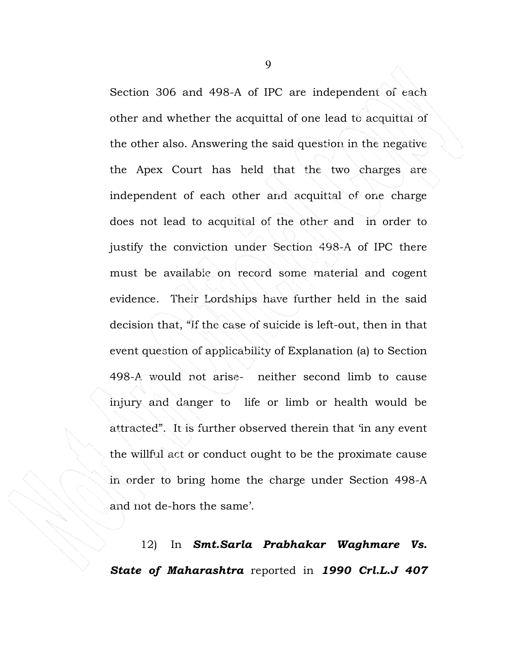Section 306 and 498-A of IPC are independent of each other and whether the acquittal of one lead to acquittal of the other also. Answering the said question in the negative the Apex Court has held that the two charges are independent of each other and acquittal of one charge does not lead to acquittal of the other and in order to justify the conviction under Section 498-A of IPC there must be available on record some material and cogent evidence. Their Lordships have further held in the said decision that, "If the case of suicide is left-out, then in that event question of applicability of Explanation (a) to Section 498-A would not arise- neither second limb to cause injury and danger to life or limb or health would be attracted". It is further observed therein that 'in any event the willful act or conduct ought to be the proximate cause in order to bring home the charge under Section 498-A and not de-hors the same'.

12) In **Smt.Sarla Prabhakar Waghmare Vs.** State of Maharashtra reported in 1990 Crl.L.J 407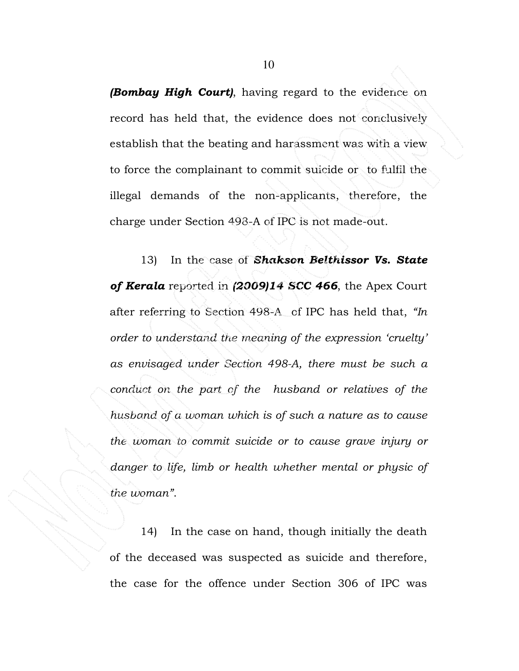**(Bombay High Court)**, having regard to the evidence on record has held that, the evidence does not conclusively establish that the beating and harassment was with a view to force the complainant to commit suicide or to fulfil the illegal demands of the non-applicants, therefore, the charge under Section 498-A of IPC is not made-out.

13) In the case of Shakson Belthissor Vs. State of Kerala reported in (2009)14 SCC 466, the Apex Court after referring to Section 498-A of IPC has held that, "In order to understand the meaning of the expression 'cruelty' as envisaged under Section 498-A, there must be such a conduct on the part of the husband or relatives of the husband of a woman which is of such a nature as to cause the woman to commit suicide or to cause grave injury or danger to life, limb or health whether mental or physic of the woman".

14) In the case on hand, though initially the death of the deceased was suspected as suicide and therefore, the case for the offence under Section 306 of IPC was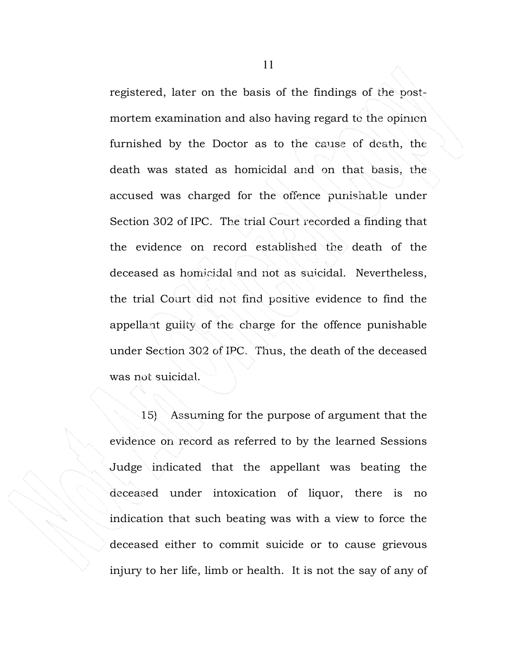registered, later on the basis of the findings of the postmortem examination and also having regard to the opinion furnished by the Doctor as to the cause of death, the death was stated as homicidal and on that basis, the accused was charged for the offence punishable under Section 302 of IPC. The trial Court recorded a finding that the evidence on record established the death of the deceased as homicidal and not as suicidal. Nevertheless, the trial Court did not find positive evidence to find the appellant guilty of the charge for the offence punishable under Section 302 of IPC. Thus, the death of the deceased was not suicidal.

15) Assuming for the purpose of argument that the evidence on record as referred to by the learned Sessions Judge indicated that the appellant was beating the deceased under intoxication of liquor, there is no indication that such beating was with a view to force the deceased either to commit suicide or to cause grievous injury to her life, limb or health. It is not the say of any of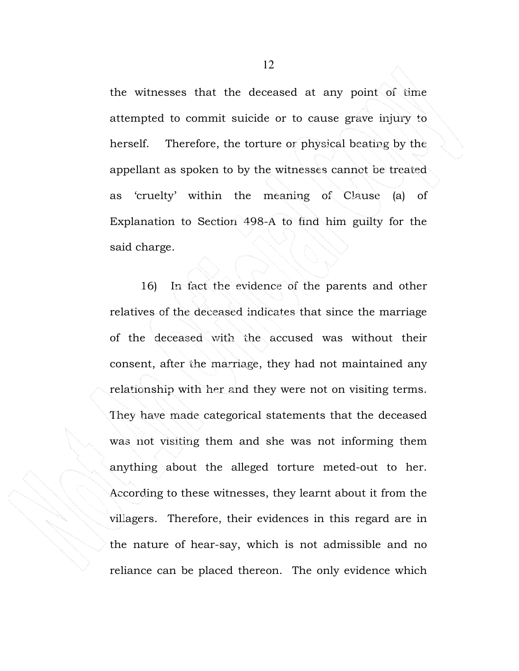the witnesses that the deceased at any point of time attempted to commit suicide or to cause grave injury to herself. Therefore, the torture or physical beating by the appellant as spoken to by the witnesses cannot be treated as 'cruelty' within the meaning of Clause (a) of Explanation to Section 498-A to find him guilty for the said charge.

16) In fact the evidence of the parents and other relatives of the deceased indicates that since the marriage of the deceased with the accused was without their consent, after the marriage, they had not maintained any relationship with her and they were not on visiting terms. They have made categorical statements that the deceased was not visiting them and she was not informing them anything about the alleged torture meted-out to her. According to these witnesses, they learnt about it from the villagers. Therefore, their evidences in this regard are in the nature of hear-say, which is not admissible and no reliance can be placed thereon. The only evidence which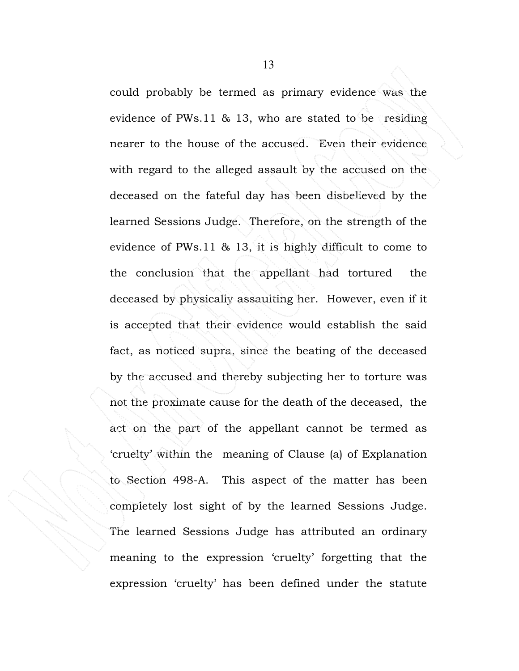could probably be termed as primary evidence was the evidence of PWs.11 & 13, who are stated to be residing nearer to the house of the accused. Even their evidence with regard to the alleged assault by the accused on the deceased on the fateful day has been disbelieved by the learned Sessions Judge. Therefore, on the strength of the evidence of PWs.11 & 13, it is highly difficult to come to the conclusion that the appellant had tortured the deceased by physically assaulting her. However, even if it is accepted that their evidence would establish the said fact, as noticed supra, since the beating of the deceased by the accused and thereby subjecting her to torture was not the proximate cause for the death of the deceased, the act on the part of the appellant cannot be termed as 'cruelty' within the meaning of Clause (a) of Explanation to Section 498-A. This aspect of the matter has been completely lost sight of by the learned Sessions Judge. The learned Sessions Judge has attributed an ordinary meaning to the expression 'cruelty' forgetting that the expression 'cruelty' has been defined under the statute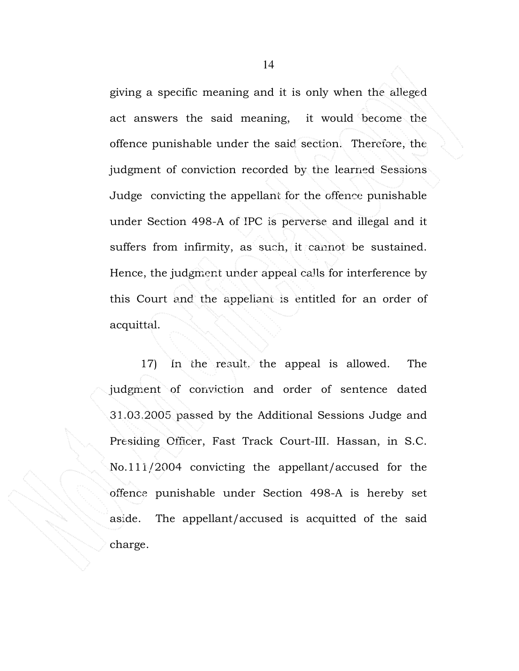giving a specific meaning and it is only when the alleged act answers the said meaning, it would become the offence punishable under the said section. Therefore, the judgment of conviction recorded by the learned Sessions Judge convicting the appellant for the offence punishable under Section 498-A of IPC is perverse and illegal and it suffers from infirmity, as such, it cannot be sustained. Hence, the judgment under appeal calls for interference by this Court and the appellant is entitled for an order of acquittal.

17) In the result, the appeal is allowed. The judgment of conviction and order of sentence dated 31.03.2005 passed by the Additional Sessions Judge and Presiding Officer, Fast Track Court-III. Hassan, in S.C. No.111/2004 convicting the appellant/accused for the offence punishable under Section 498-A is hereby set aside. The appellant/accused is acquitted of the said charge.